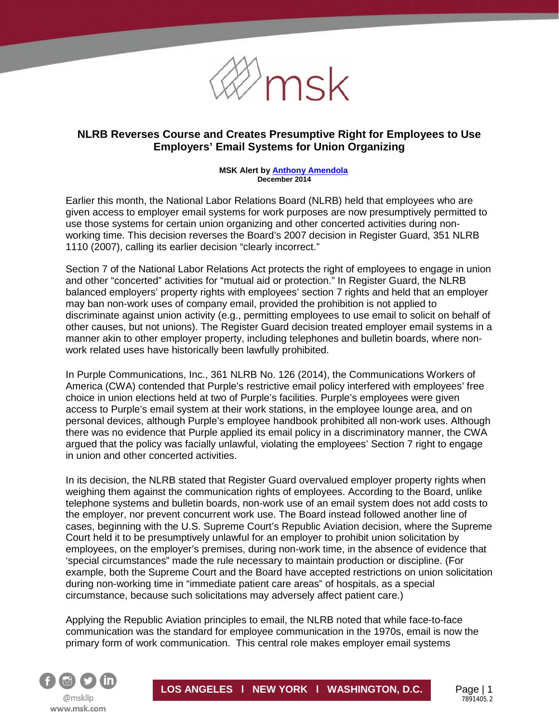

## **NLRB Reverses Course and Creates Presumptive Right for Employees to Use Employers' Email Systems for Union Organizing**

#### **MSK Alert b[y Anthony Amendola](http://www.msk.com/attorneys-Anthony_Amendola) December 2014**

Earlier this month, the National Labor Relations Board (NLRB) held that employees who are given access to employer email systems for work purposes are now presumptively permitted to use those systems for certain union organizing and other concerted activities during nonworking time. This decision reverses the Board's 2007 decision in Register Guard, 351 NLRB 1110 (2007), calling its earlier decision "clearly incorrect."

Section 7 of the National Labor Relations Act protects the right of employees to engage in union and other "concerted" activities for "mutual aid or protection." In Register Guard, the NLRB balanced employers' property rights with employees' section 7 rights and held that an employer may ban non-work uses of company email, provided the prohibition is not applied to discriminate against union activity (e.g., permitting employees to use email to solicit on behalf of other causes, but not unions). The Register Guard decision treated employer email systems in a manner akin to other employer property, including telephones and bulletin boards, where nonwork related uses have historically been lawfully prohibited.

In Purple Communications, Inc., 361 NLRB No. 126 (2014), the Communications Workers of America (CWA) contended that Purple's restrictive email policy interfered with employees' free choice in union elections held at two of Purple's facilities. Purple's employees were given access to Purple's email system at their work stations, in the employee lounge area, and on personal devices, although Purple's employee handbook prohibited all non-work uses. Although there was no evidence that Purple applied its email policy in a discriminatory manner, the CWA argued that the policy was facially unlawful, violating the employees' Section 7 right to engage in union and other concerted activities.

In its decision, the NLRB stated that Register Guard overvalued employer property rights when weighing them against the communication rights of employees. According to the Board, unlike telephone systems and bulletin boards, non-work use of an email system does not add costs to the employer, nor prevent concurrent work use. The Board instead followed another line of cases, beginning with the U.S. Supreme Court's Republic Aviation decision, where the Supreme Court held it to be presumptively unlawful for an employer to prohibit union solicitation by employees, on the employer's premises, during non-work time, in the absence of evidence that 'special circumstances" made the rule necessary to maintain production or discipline. (For example, both the Supreme Court and the Board have accepted restrictions on union solicitation during non-working time in "immediate patient care areas" of hospitals, as a special circumstance, because such solicitations may adversely affect patient care.)

Applying the Republic Aviation principles to email, the NLRB noted that while face-to-face communication was the standard for employee communication in the 1970s, email is now the primary form of work communication. This central role makes employer email systems

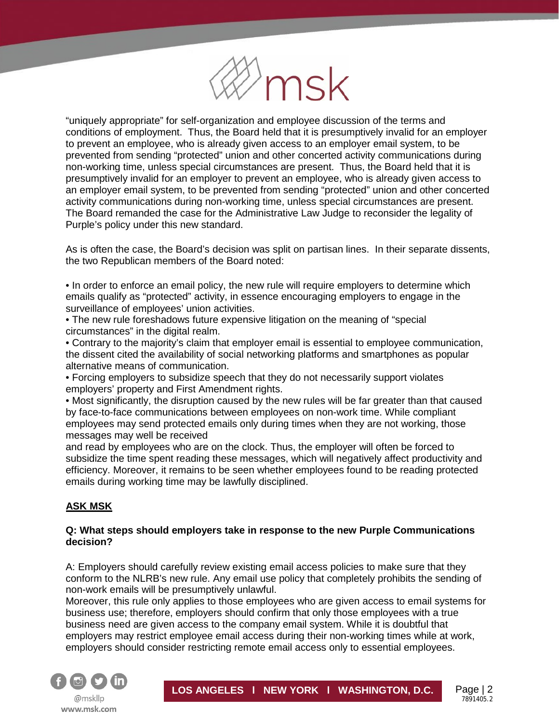

"uniquely appropriate" for self-organization and employee discussion of the terms and conditions of employment. Thus, the Board held that it is presumptively invalid for an employer to prevent an employee, who is already given access to an employer email system, to be prevented from sending "protected" union and other concerted activity communications during non-working time, unless special circumstances are present. Thus, the Board held that it is presumptively invalid for an employer to prevent an employee, who is already given access to an employer email system, to be prevented from sending "protected" union and other concerted activity communications during non-working time, unless special circumstances are present. The Board remanded the case for the Administrative Law Judge to reconsider the legality of Purple's policy under this new standard.

As is often the case, the Board's decision was split on partisan lines. In their separate dissents, the two Republican members of the Board noted:

• In order to enforce an email policy, the new rule will require employers to determine which emails qualify as "protected" activity, in essence encouraging employers to engage in the surveillance of employees' union activities.

• The new rule foreshadows future expensive litigation on the meaning of "special circumstances" in the digital realm.

• Contrary to the majority's claim that employer email is essential to employee communication, the dissent cited the availability of social networking platforms and smartphones as popular alternative means of communication.

• Forcing employers to subsidize speech that they do not necessarily support violates employers' property and First Amendment rights.

• Most significantly, the disruption caused by the new rules will be far greater than that caused by face-to-face communications between employees on non-work time. While compliant employees may send protected emails only during times when they are not working, those messages may well be received

and read by employees who are on the clock. Thus, the employer will often be forced to subsidize the time spent reading these messages, which will negatively affect productivity and efficiency. Moreover, it remains to be seen whether employees found to be reading protected emails during working time may be lawfully disciplined.

# **ASK MSK**

í

#### **Q: What steps should employers take in response to the new Purple Communications decision?**

A: Employers should carefully review existing email access policies to make sure that they conform to the NLRB's new rule. Any email use policy that completely prohibits the sending of non-work emails will be presumptively unlawful.

Moreover, this rule only applies to those employees who are given access to email systems for business use; therefore, employers should confirm that only those employees with a true business need are given access to the company email system. While it is doubtful that employers may restrict employee email access during their non-working times while at work, employers should consider restricting remote email access only to essential employees.